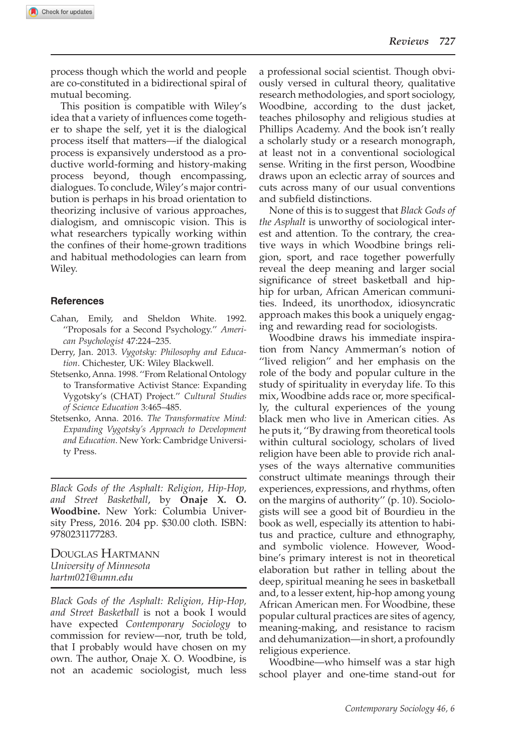process though which the world and people are co-constituted in a bidirectional spiral of mutual becoming.

This position is compatible with Wiley's idea that a variety of influences come together to shape the self, yet it is the dialogical process itself that matters—if the dialogical process is expansively understood as a productive world-forming and history-making process beyond, though encompassing, dialogues. To conclude, Wiley's major contribution is perhaps in his broad orientation to theorizing inclusive of various approaches, dialogism, and omniscopic vision. This is what researchers typically working within the confines of their home-grown traditions and habitual methodologies can learn from Wiley.

## **References**

- Cahan, Emily, and Sheldon White. 1992. ''Proposals for a Second Psychology.'' American Psychologist 47:224–235.
- Derry, Jan. 2013. Vygotsky: Philosophy and Education. Chichester, UK: Wiley Blackwell.
- Stetsenko, Anna. 1998. ''From Relational Ontology to Transformative Activist Stance: Expanding Vygotsky's (CHAT) Project.'' Cultural Studies of Science Education 3:465–485.
- Stetsenko, Anna. 2016. The Transformative Mind: Expanding Vygotsky's Approach to Development and Education. New York: Cambridge University Press.

Black Gods of the Asphalt: Religion, Hip-Hop, and Street Basketball, by Onaje X. O. Woodbine. New York: Columbia University Press, 2016. 204 pp. \$30.00 cloth. ISBN: 9780231177283.

DOUGLAS HARTMANN University of Minnesota hartm021@umn.edu

Black Gods of the Asphalt: Religion, Hip-Hop, and Street Basketball is not a book I would have expected Contemporary Sociology to commission for review—nor, truth be told, that I probably would have chosen on my own. The author, Onaje X. O. Woodbine, is not an academic sociologist, much less

a professional social scientist. Though obviously versed in cultural theory, qualitative research methodologies, and sport sociology, Woodbine, according to the dust jacket, teaches philosophy and religious studies at Phillips Academy. And the book isn't really a scholarly study or a research monograph, at least not in a conventional sociological sense. Writing in the first person, Woodbine draws upon an eclectic array of sources and cuts across many of our usual conventions and subfield distinctions.

None of this is to suggest that Black Gods of the Asphalt is unworthy of sociological interest and attention. To the contrary, the creative ways in which Woodbine brings religion, sport, and race together powerfully reveal the deep meaning and larger social significance of street basketball and hiphip for urban, African American communities. Indeed, its unorthodox, idiosyncratic approach makes this book a uniquely engaging and rewarding read for sociologists.

Woodbine draws his immediate inspiration from Nancy Ammerman's notion of "lived religion" and her emphasis on the role of the body and popular culture in the study of spirituality in everyday life. To this mix, Woodbine adds race or, more specifically, the cultural experiences of the young black men who live in American cities. As he puts it, ''By drawing from theoretical tools within cultural sociology, scholars of lived religion have been able to provide rich analyses of the ways alternative communities construct ultimate meanings through their experiences, expressions, and rhythms, often on the margins of authority'' (p. 10). Sociologists will see a good bit of Bourdieu in the book as well, especially its attention to habitus and practice, culture and ethnography, and symbolic violence. However, Woodbine's primary interest is not in theoretical elaboration but rather in telling about the deep, spiritual meaning he sees in basketball and, to a lesser extent, hip-hop among young African American men. For Woodbine, these popular cultural practices are sites of agency, meaning-making, and resistance to racism and dehumanization—in short, a profoundly religious experience.

Woodbine—who himself was a star high school player and one-time stand-out for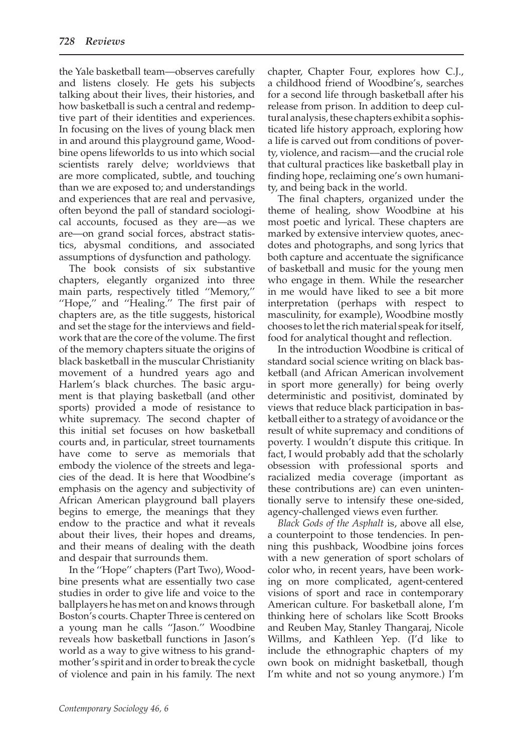the Yale basketball team—observes carefully and listens closely. He gets his subjects talking about their lives, their histories, and how basketball is such a central and redemptive part of their identities and experiences. In focusing on the lives of young black men in and around this playground game, Woodbine opens lifeworlds to us into which social scientists rarely delve; worldviews that are more complicated, subtle, and touching than we are exposed to; and understandings and experiences that are real and pervasive, often beyond the pall of standard sociological accounts, focused as they are—as we are—on grand social forces, abstract statistics, abysmal conditions, and associated assumptions of dysfunction and pathology.

The book consists of six substantive chapters, elegantly organized into three main parts, respectively titled ''Memory,'' ''Hope,'' and ''Healing.'' The first pair of chapters are, as the title suggests, historical and set the stage for the interviews and fieldwork that are the core of the volume. The first of the memory chapters situate the origins of black basketball in the muscular Christianity movement of a hundred years ago and Harlem's black churches. The basic argument is that playing basketball (and other sports) provided a mode of resistance to white supremacy. The second chapter of this initial set focuses on how basketball courts and, in particular, street tournaments have come to serve as memorials that embody the violence of the streets and legacies of the dead. It is here that Woodbine's emphasis on the agency and subjectivity of African American playground ball players begins to emerge, the meanings that they endow to the practice and what it reveals about their lives, their hopes and dreams, and their means of dealing with the death and despair that surrounds them.

In the ''Hope'' chapters (Part Two), Woodbine presents what are essentially two case studies in order to give life and voice to the ballplayers he has met on and knows through Boston's courts. Chapter Three is centered on a young man he calls ''Jason.'' Woodbine reveals how basketball functions in Jason's world as a way to give witness to his grandmother's spirit and in order to break the cycle of violence and pain in his family. The next chapter, Chapter Four, explores how C.J., a childhood friend of Woodbine's, searches for a second life through basketball after his release from prison. In addition to deep cultural analysis, these chapters exhibit a sophisticated life history approach, exploring how a life is carved out from conditions of poverty, violence, and racism—and the crucial role that cultural practices like basketball play in finding hope, reclaiming one's own humanity, and being back in the world.

The final chapters, organized under the theme of healing, show Woodbine at his most poetic and lyrical. These chapters are marked by extensive interview quotes, anecdotes and photographs, and song lyrics that both capture and accentuate the significance of basketball and music for the young men who engage in them. While the researcher in me would have liked to see a bit more interpretation (perhaps with respect to masculinity, for example), Woodbine mostly chooses to let the rich material speak for itself, food for analytical thought and reflection.

In the introduction Woodbine is critical of standard social science writing on black basketball (and African American involvement in sport more generally) for being overly deterministic and positivist, dominated by views that reduce black participation in basketball either to a strategy of avoidance or the result of white supremacy and conditions of poverty. I wouldn't dispute this critique. In fact, I would probably add that the scholarly obsession with professional sports and racialized media coverage (important as these contributions are) can even unintentionally serve to intensify these one-sided, agency-challenged views even further.

Black Gods of the Asphalt is, above all else, a counterpoint to those tendencies. In penning this pushback, Woodbine joins forces with a new generation of sport scholars of color who, in recent years, have been working on more complicated, agent-centered visions of sport and race in contemporary American culture. For basketball alone, I'm thinking here of scholars like Scott Brooks and Reuben May, Stanley Thangaraj, Nicole Willms, and Kathleen Yep. (I'd like to include the ethnographic chapters of my own book on midnight basketball, though I'm white and not so young anymore.) I'm